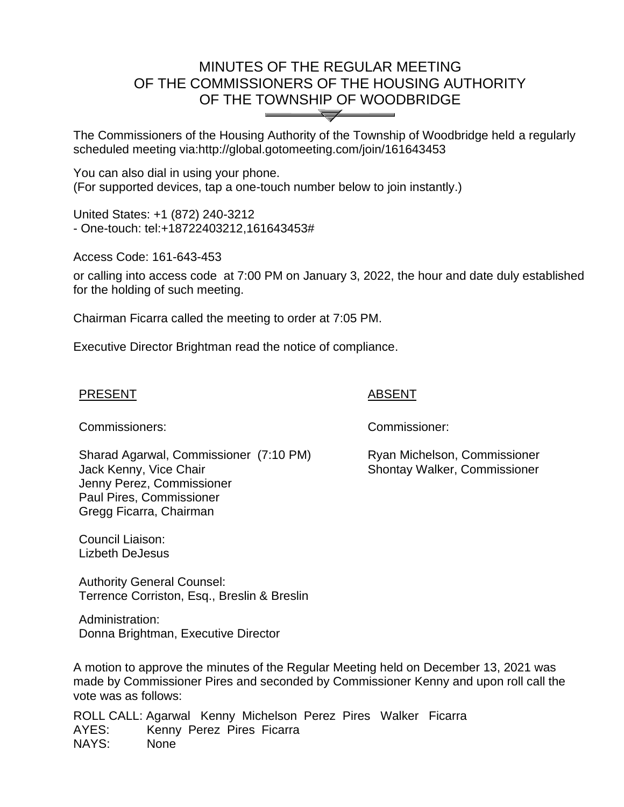# MINUTES OF THE REGULAR MEETING OF THE COMMISSIONERS OF THE HOUSING AUTHORITY OF THE TOWNSHIP OF WOODBRIDGE  $\overline{\mathcal{A}}$

The Commissioners of the Housing Authority of the Township of Woodbridge held a regularly scheduled meeting via:http://global.gotomeeting.com/join/161643453

You can also dial in using your phone. (For supported devices, tap a one-touch number below to join instantly.)

United States: +1 (872) 240-3212 - One-touch: tel:+18722403212,161643453#

Access Code: 161-643-453

or calling into access code at 7:00 PM on January 3, 2022, the hour and date duly established for the holding of such meeting.

Chairman Ficarra called the meeting to order at 7:05 PM.

Executive Director Brightman read the notice of compliance.

#### PRESENT ֺ֖֚֝֬

#### ABSENT

Commissioners: Commissioner:

Sharad Agarwal, Commissioner (7:10 PM) Jack Kenny, Vice Chair Jenny Perez, Commissioner Paul Pires, Commissioner Gregg Ficarra, Chairman

Ryan Michelson, Commissioner Shontay Walker, Commissioner

Council Liaison: Lizbeth DeJesus

Authority General Counsel: Terrence Corriston, Esq., Breslin & Breslin

Administration: Donna Brightman, Executive Director

A motion to approve the minutes of the Regular Meeting held on December 13, 2021 was made by Commissioner Pires and seconded by Commissioner Kenny and upon roll call the vote was as follows:

ROLL CALL: Agarwal Kenny Michelson Perez Pires Walker Ficarra AYES: Kenny Perez Pires Ficarra NAYS: None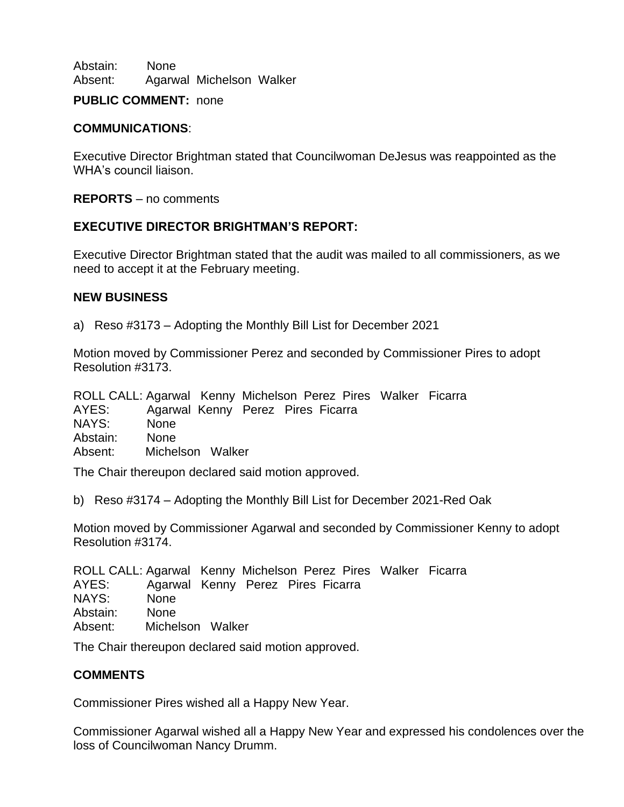Abstain: None Absent: Agarwal Michelson Walker

### **PUBLIC COMMENT:** none

## **COMMUNICATIONS**:

Executive Director Brightman stated that Councilwoman DeJesus was reappointed as the WHA's council liaison.

**REPORTS** – no comments

# **EXECUTIVE DIRECTOR BRIGHTMAN'S REPORT:**

Executive Director Brightman stated that the audit was mailed to all commissioners, as we need to accept it at the February meeting.

#### **NEW BUSINESS**

a) Reso #3173 – Adopting the Monthly Bill List for December 2021

Motion moved by Commissioner Perez and seconded by Commissioner Pires to adopt Resolution #3173.

ROLL CALL: Agarwal Kenny Michelson Perez Pires Walker Ficarra AYES: Agarwal Kenny Perez Pires Ficarra NAYS: None Abstain: None Absent: Michelson Walker

The Chair thereupon declared said motion approved.

b) Reso #3174 – Adopting the Monthly Bill List for December 2021-Red Oak

Motion moved by Commissioner Agarwal and seconded by Commissioner Kenny to adopt Resolution #3174.

ROLL CALL: Agarwal Kenny Michelson Perez Pires Walker Ficarra AYES: Agarwal Kenny Perez Pires Ficarra NAYS: None Abstain: None Absent: Michelson Walker

The Chair thereupon declared said motion approved.

# **COMMENTS**

Commissioner Pires wished all a Happy New Year.

Commissioner Agarwal wished all a Happy New Year and expressed his condolences over the loss of Councilwoman Nancy Drumm.